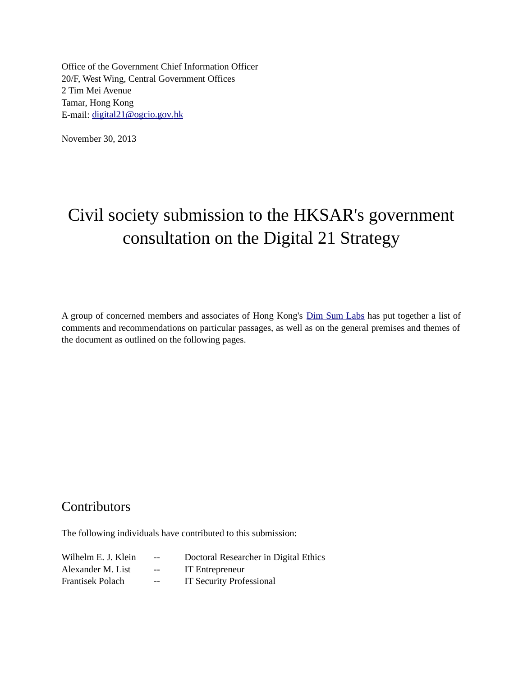Office of the Government Chief Information Officer 20/F, West Wing, Central Government Offices 2 Tim Mei Avenue Tamar, Hong Kong E-mail: digital21@ogcio.gov.hk

November 30, 2013

# Civil society submission to the HKSAR's government consultation on the Digital 21 Strategy

A group of concerned members and associates of Hong Kong's *Dim Sum Labs* has put together a list of comments and recommendations on particular passages, as well as on the general premises and themes of the document as outlined on the following pages.

### **Contributors**

The following individuals have contributed to this submission:

| Wilhelm E. J. Klein | $ -$  | Doctoral Researcher in Digital Ethics |
|---------------------|-------|---------------------------------------|
| Alexander M. List   | $- -$ | IT Entrepreneur                       |
| Frantisek Polach    | $ -$  | <b>IT Security Professional</b>       |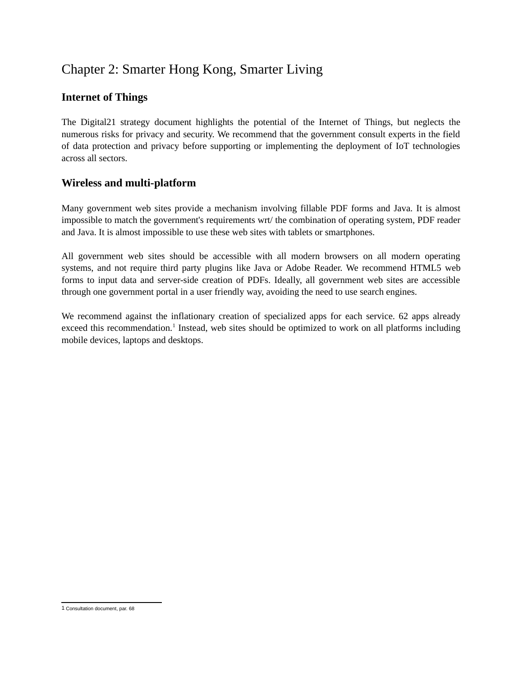## Chapter 2: Smarter Hong Kong, Smarter Living

#### **Internet of Things**

 The Digital21 strategy document highlights the potential of the Internet of Things, but neglects the numerous risks for privacy and security. We recommend that the government consult experts in the field of data protection and privacy before supporting or implementing the deployment of IoT technologies across all sectors.

#### **Wireless and multi-platform**

 Many government web sites provide a mechanism involving fillable PDF forms and Java. It is almost impossible to match the government's requirements wrt/ the combination of operating system, PDF reader and Java. It is almost impossible to use these web sites with tablets or smartphones.

 All government web sites should be accessible with all modern browsers on all modern operating systems, and not require third party plugins like Java or Adobe Reader. We recommend HTML5 web forms to input data and server-side creation of PDFs. Ideally, all government web sites are accessible through one government portal in a user friendly way, avoiding the need to use search engines.

 We recommend against the inflationary creation of specialized apps for each service. 62 apps already exceed this recommendation.<sup>1</sup> Instead, web sites should be optimized to work on all platforms including mobile devices, laptops and desktops.

<span id="page-1-0"></span> 1 Consultation document, par. 68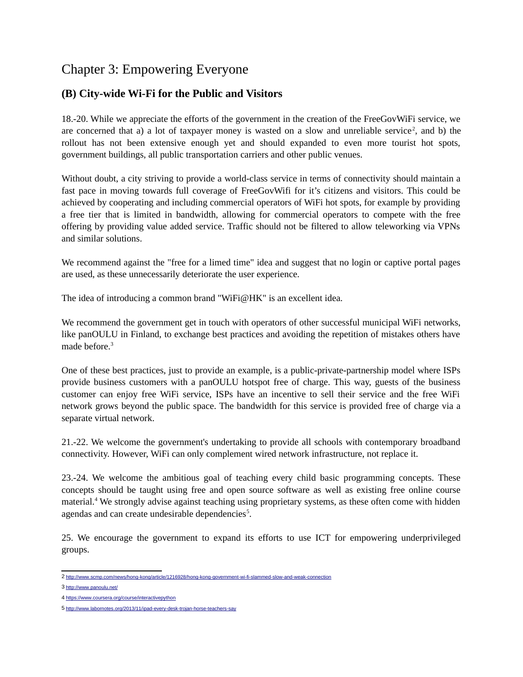### Chapter 3: Empowering Everyone

#### **(B) City-wide Wi-Fi for the Public and Visitors**

 18.-20. While we appreciate the efforts of the government in the creation of the FreeGovWiFi service, we are concerned that a) a lot of taxpayer money is wasted on a slow and unreliable service<sup>[2](#page-2-0)</sup>, and b) the rollout has not been extensive enough yet and should expanded to even more tourist hot spots, government buildings, all public transportation carriers and other public venues.

 Without doubt, a city striving to provide a world-class service in terms of connectivity should maintain a fast pace in moving towards full coverage of FreeGovWifi for it's citizens and visitors. This could be achieved by cooperating and including commercial operators of WiFi hot spots, for example by providing a free tier that is limited in bandwidth, allowing for commercial operators to compete with the free offering by providing value added service. Traffic should not be filtered to allow teleworking via VPNs and similar solutions.

 We recommend against the "free for a limed time" idea and suggest that no login or captive portal pages are used, as these unnecessarily deteriorate the user experience.

The idea of introducing a common brand "WiFi@HK" is an excellent idea.

 We recommend the government get in touch with operators of other successful municipal WiFi networks, like panOULU in Finland, to exchange best practices and avoiding the repetition of mistakes others have made before.<sup>3</sup>

 One of these best practices, just to provide an example, is a public-private-partnership model where ISPs provide business customers with a panOULU hotspot free of charge. This way, guests of the business customer can enjoy free WiFi service, ISPs have an incentive to sell their service and the free WiFi network grows beyond the public space. The bandwidth for this service is provided free of charge via a separate virtual network.

 21.-22. We welcome the government's undertaking to provide all schools with contemporary broadband connectivity. However, WiFi can only complement wired network infrastructure, not replace it.

 23.-24. We welcome the ambitious goal of teaching every child basic programming concepts. These concepts should be taught using free and open source software as well as existing free online course material[.4](#page-2-2) We strongly advise against teaching using proprietary systems, as these often come with hidden agendas and can create undesirable dependencies<sup>5</sup>.

 25. We encourage the government to expand its efforts to use ICT for empowering underprivileged groups.

<span id="page-2-0"></span><sup>2</sup><http://www.scmp.com/news/hong-kong/article/1216928/hong-kong-government-wi-fi-slammed-slow-and-weak-connection>

<span id="page-2-1"></span><sup>3</sup><http://www.panoulu.net/>

<span id="page-2-2"></span><sup>4</sup><https://www.coursera.org/course/interactivepython>

<span id="page-2-3"></span><sup>5</sup><http://www.labornotes.org/2013/11/ipad-every-desk-trojan-horse-teachers-say>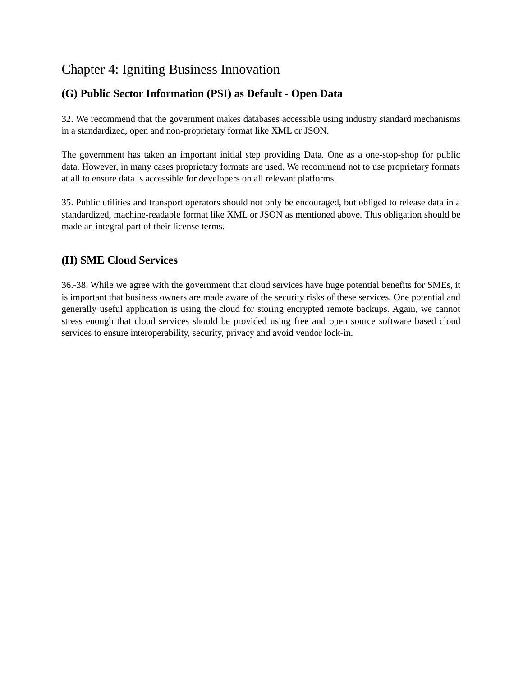# Chapter 4: Igniting Business Innovation

#### **(G) Public Sector Information (PSI) as Default - Open Data**

 32. We recommend that the government makes databases accessible using industry standard mechanisms in a standardized, open and non-proprietary format like XML or JSON.

 The government has taken an important initial step providing Data. One as a one-stop-shop for public data. However, in many cases proprietary formats are used. We recommend not to use proprietary formats at all to ensure data is accessible for developers on all relevant platforms.

 35. Public utilities and transport operators should not only be encouraged, but obliged to release data in a standardized, machine-readable format like XML or JSON as mentioned above. This obligation should be made an integral part of their license terms.

#### **(H) SME Cloud Services**

 36.-38. While we agree with the government that cloud services have huge potential benefits for SMEs, it is important that business owners are made aware of the security risks of these services. One potential and generally useful application is using the cloud for storing encrypted remote backups. Again, we cannot stress enough that cloud services should be provided using free and open source software based cloud services to ensure interoperability, security, privacy and avoid vendor lock-in.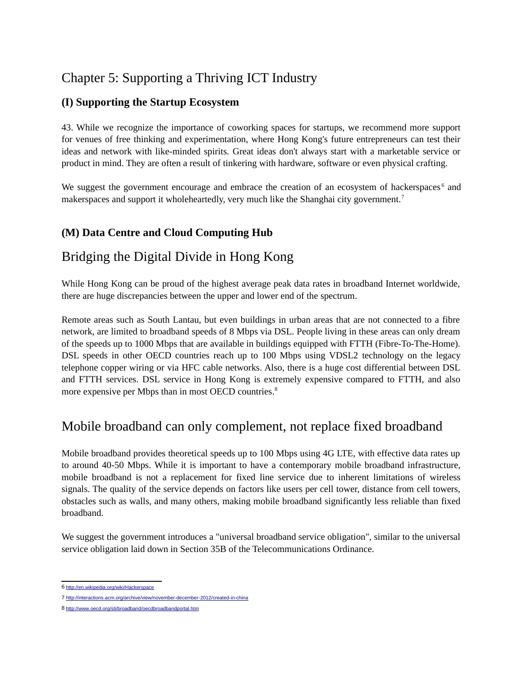## Chapter 5: Supporting a Thriving ICT Industry

#### **(I) Supporting the Startup Ecosystem**

 43. While we recognize the importance of coworking spaces for startups, we recommend more support for venues of free thinking and experimentation, where Hong Kong's future entrepreneurs can test their ideas and network with like-minded spirits. Great ideas don't always start with a marketable service or product in mind. They are often a result of tinkering with hardware, software or even physical crafting.

We suggest the government encourage and embrace the creation of an ecosystem of hackerspaces<sup>6</sup> and makerspaces and support it wholeheartedly, very much like the Shanghai city government.<sup>7</sup>

#### **(M) Data Centre and Cloud Computing Hub**

### Bridging the Digital Divide in Hong Kong

 While Hong Kong can be proud of the highest average peak data rates in broadband Internet worldwide, there are huge discrepancies between the upper and lower end of the spectrum.

 Remote areas such as South Lantau, but even buildings in urban areas that are not connected to a fibre network, are limited to broadband speeds of 8 Mbps via DSL. People living in these areas can only dream of the speeds up to 1000 Mbps that are available in buildings equipped with FTTH (Fibre-To-The-Home). DSL speeds in other OECD countries reach up to 100 Mbps using VDSL2 technology on the legacy telephone copper wiring or via HFC cable networks. Also, there is a huge cost differential between DSL and FTTH services. DSL service in Hong Kong is extremely expensive compared to FTTH, and also more expensive per Mbps than in most OECD countries.<sup>8</sup>

## Mobile broadband can only complement, not replace fixed broadband

 Mobile broadband provides theoretical speeds up to 100 Mbps using 4G LTE, with effective data rates up to around 40-50 Mbps. While it is important to have a contemporary mobile broadband infrastructure, mobile broadband is not a replacement for fixed line service due to inherent limitations of wireless signals. The quality of the service depends on factors like users per cell tower, distance from cell towers, obstacles such as walls, and many others, making mobile broadband significantly less reliable than fixed broadband.

 We suggest the government introduces a "universal broadband service obligation", similar to the universal service obligation laid down in Section 35B of the Telecommunications Ordinance.

<span id="page-4-0"></span><sup>6</sup><http://en.wikipedia.org/wiki/Hackerspace>

<span id="page-4-1"></span><sup>7</sup><http://interactions.acm.org/archive/view/november-december-2012/created-in-china>

<span id="page-4-2"></span><sup>8</sup><http://www.oecd.org/sti/broadband/oecdbroadbandportal.htm>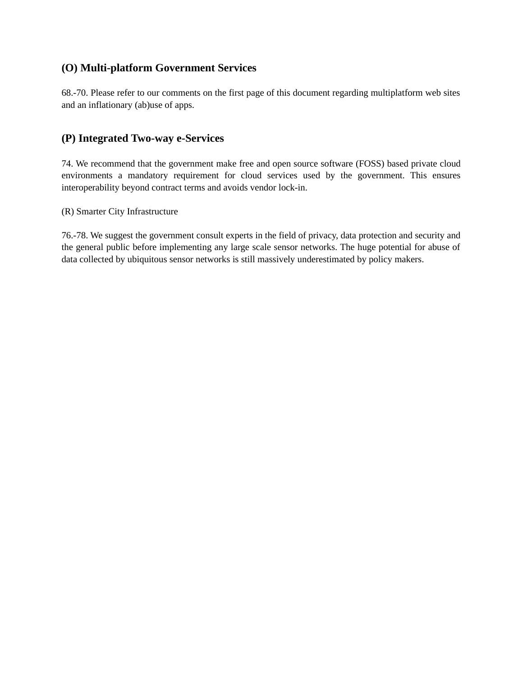#### **(O) Multi-platform Government Services**

 68.-70. Please refer to our comments on the first page of this document regarding multiplatform web sites and an inflationary (ab)use of apps.

#### **(P) Integrated Two-way e-Services**

 74. We recommend that the government make free and open source software (FOSS) based private cloud environments a mandatory requirement for cloud services used by the government. This ensures interoperability beyond contract terms and avoids vendor lock-in.

(R) Smarter City Infrastructure

 76.-78. We suggest the government consult experts in the field of privacy, data protection and security and the general public before implementing any large scale sensor networks. The huge potential for abuse of data collected by ubiquitous sensor networks is still massively underestimated by policy makers.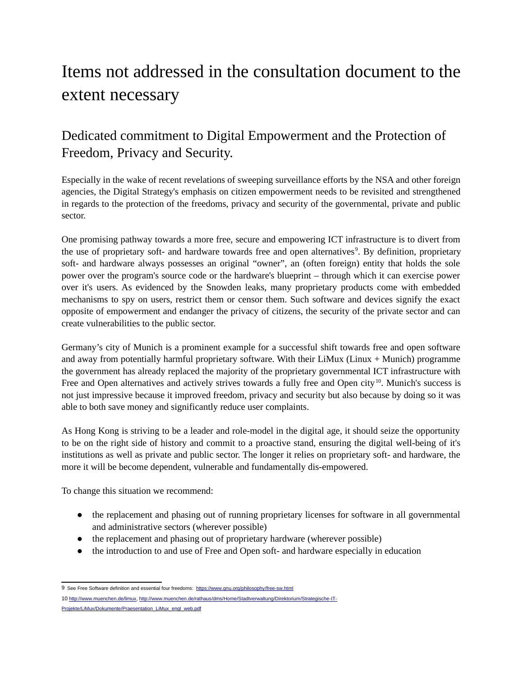# Items not addressed in the consultation document to the extent necessary

# Dedicated commitment to Digital Empowerment and the Protection of Freedom, Privacy and Security.

 Especially in the wake of recent revelations of sweeping surveillance efforts by the NSA and other foreign agencies, the Digital Strategy's emphasis on citizen empowerment needs to be revisited and strengthened in regards to the protection of the freedoms, privacy and security of the governmental, private and public sector.

 One promising pathway towards a more free, secure and empowering ICT infrastructure is to divert from the use of proprietary soft- and hardware towards free and open alternatives<sup>9</sup>. By definition, proprietary soft- and hardware always possesses an original "owner", an (often foreign) entity that holds the sole power over the program's source code or the hardware's blueprint – through which it can exercise power over it's users. As evidenced by the Snowden leaks, many proprietary products come with embedded mechanisms to spy on users, restrict them or censor them. Such software and devices signify the exact opposite of empowerment and endanger the privacy of citizens, the security of the private sector and can create vulnerabilities to the public sector.

 Germany's city of Munich is a prominent example for a successful shift towards free and open software and away from potentially harmful proprietary software. With their LiMux (Linux + Munich) programme the government has already replaced the majority of the proprietary governmental ICT infrastructure with Free and Open alternatives and actively strives towards a fully free and Open city<sup>10</sup>. Munich's success is not just impressive because it improved freedom, privacy and security but also because by doing so it was able to both save money and significantly reduce user complaints.

 As Hong Kong is striving to be a leader and role-model in the digital age, it should seize the opportunity to be on the right side of history and commit to a proactive stand, ensuring the digital well-being of it's institutions as well as private and public sector. The longer it relies on proprietary soft- and hardware, the more it will be become dependent, vulnerable and fundamentally dis-empowered.

To change this situation we recommend:

- the replacement and phasing out of running proprietary licenses for software in all governmental and administrative sectors (wherever possible)
- the replacement and phasing out of proprietary hardware (wherever possible)
- the introduction to and use of Free and Open soft- and hardware especially in education

[Projekte/LiMux/Dokumente/Praesentation\\_LiMux\\_engl\\_web.pdf](http://www.muenchen.de/rathaus/dms/Home/Stadtverwaltung/Direktorium/Strategische-IT-Projekte/LiMux/Dokumente/Praesentation_LiMux_engl_web.pdf) 

<span id="page-6-0"></span><sup>9</sup> See Free Software definition and essential four freedoms: https://www.gnu.org/philosophy/free-sw.html

<span id="page-6-1"></span><sup>10</sup> [http://www.muenchen.de/limux,](http://www.muenchen.de/limux) [http://www.muenchen.de/rathaus/dms/Home/Stadtverwaltung/Direktorium/Strategische-IT-](http://www.muenchen.de/rathaus/dms/Home/Stadtverwaltung/Direktorium/Strategische-IT-Projekte/LiMux/Dokumente/Praesentation_LiMux_engl_web.pdf)